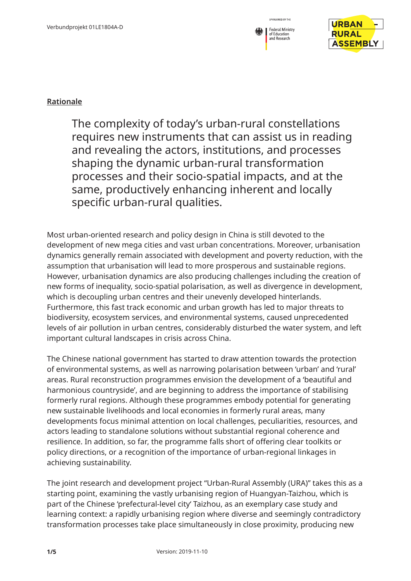



## **Rationale**

The complexity of today's urban-rural constellations requires new instruments that can assist us in reading and revealing the actors, institutions, and processes shaping the dynamic urban-rural transformation processes and their socio-spatial impacts, and at the same, productively enhancing inherent and locally specific urban-rural qualities.

Most urban-oriented research and policy design in China is still devoted to the development of new mega cities and vast urban concentrations. Moreover, urbanisation dynamics generally remain associated with development and poverty reduction, with the assumption that urbanisation will lead to more prosperous and sustainable regions. However, urbanisation dynamics are also producing challenges including the creation of new forms of inequality, socio-spatial polarisation, as well as divergence in development, which is decoupling urban centres and their unevenly developed hinterlands. Furthermore, this fast track economic and urban growth has led to major threats to biodiversity, ecosystem services, and environmental systems, caused unprecedented levels of air pollution in urban centres, considerably disturbed the water system, and left important cultural landscapes in crisis across China.

The Chinese national government has started to draw attention towards the protection of environmental systems, as well as narrowing polarisation between 'urban' and 'rural' areas. Rural reconstruction programmes envision the development of a 'beautiful and harmonious countryside', and are beginning to address the importance of stabilising formerly rural regions. Although these programmes embody potential for generating new sustainable livelihoods and local economies in formerly rural areas, many developments focus minimal attention on local challenges, peculiarities, resources, and actors leading to standalone solutions without substantial regional coherence and resilience. In addition, so far, the programme falls short of offering clear toolkits or policy directions, or a recognition of the importance of urban-regional linkages in achieving sustainability.

The joint research and development project "Urban-Rural Assembly (URA)" takes this as a starting point, examining the vastly urbanising region of Huangyan-Taizhou, which is part of the Chinese 'prefectural-level city' Taizhou, as an exemplary case study and learning context: a rapidly urbanising region where diverse and seemingly contradictory transformation processes take place simultaneously in close proximity, producing new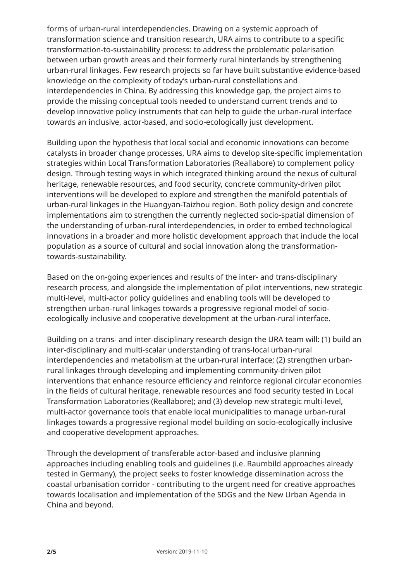forms of urban-rural interdependencies. Drawing on a systemic approach of transformation science and transition research, URA aims to contribute to a specific transformation-to-sustainability process: to address the problematic polarisation between urban growth areas and their formerly rural hinterlands by strengthening urban-rural linkages. Few research projects so far have built substantive evidence-based knowledge on the complexity of today's urban-rural constellations and interdependencies in China. By addressing this knowledge gap, the project aims to provide the missing conceptual tools needed to understand current trends and to develop innovative policy instruments that can help to guide the urban-rural interface towards an inclusive, actor-based, and socio-ecologically just development.

Building upon the hypothesis that local social and economic innovations can become catalysts in broader change processes, URA aims to develop site-specific implementation strategies within Local Transformation Laboratories (Reallabore) to complement policy design. Through testing ways in which integrated thinking around the nexus of cultural heritage, renewable resources, and food security, concrete community-driven pilot interventions will be developed to explore and strengthen the manifold potentials of urban-rural linkages in the Huangyan-Taizhou region. Both policy design and concrete implementations aim to strengthen the currently neglected socio-spatial dimension of the understanding of urban-rural interdependencies, in order to embed technological innovations in a broader and more holistic development approach that include the local population as a source of cultural and social innovation along the transformationtowards-sustainability.

Based on the on-going experiences and results of the inter- and trans-disciplinary research process, and alongside the implementation of pilot interventions, new strategic multi-level, multi-actor policy guidelines and enabling tools will be developed to strengthen urban-rural linkages towards a progressive regional model of socioecologically inclusive and cooperative development at the urban-rural interface.

Building on a trans- and inter-disciplinary research design the URA team will: (1) build an inter-disciplinary and multi-scalar understanding of trans-local urban-rural interdependencies and metabolism at the urban-rural interface; (2) strengthen urbanrural linkages through developing and implementing community-driven pilot interventions that enhance resource efficiency and reinforce regional circular economies in the fields of cultural heritage, renewable resources and food security tested in Local Transformation Laboratories (Reallabore); and (3) develop new strategic multi-level, multi-actor governance tools that enable local municipalities to manage urban-rural linkages towards a progressive regional model building on socio-ecologically inclusive and cooperative development approaches.

Through the development of transferable actor-based and inclusive planning approaches including enabling tools and guidelines (i.e. Raumbild approaches already tested in Germany), the project seeks to foster knowledge dissemination across the coastal urbanisation corridor - contributing to the urgent need for creative approaches towards localisation and implementation of the SDGs and the New Urban Agenda in China and beyond.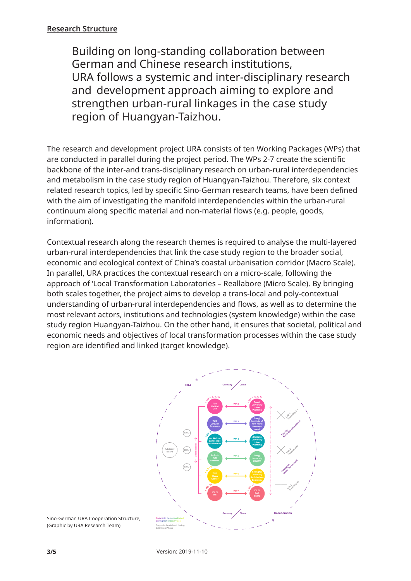## **Research Structure**

 Building on long-standing collaboration between German and Chinese research institutions, URA follows a systemic and inter-disciplinary research and development approach aiming to explore and strengthen urban-rural linkages in the case study region of Huangyan-Taizhou.

The research and development project URA consists of ten Working Packages (WPs) that are conducted in parallel during the project period. The WPs 2-7 create the scientific backbone of the inter-and trans-disciplinary research on urban-rural interdependencies and metabolism in the case study region of Huangyan-Taizhou. Therefore, six context related research topics, led by specific Sino-German research teams, have been defined with the aim of investigating the manifold interdependencies within the urban-rural continuum along specific material and non-material flows (e.g. people, goods, information).

Contextual research along the research themes is required to analyse the multi-layered urban-rural interdependencies that link the case study region to the broader social, economic and ecological context of China's coastal urbanisation corridor (Macro Scale). In parallel, URA practices the contextual research on a micro-scale, following the approach of 'Local Transformation Laboratories – Reallabore (Micro Scale). By bringing both scales together, the project aims to develop a trans-local and poly-contextual understanding of urban-rural interdependencies and flows, as well as to determine the most relevant actors, institutions and technologies (system knowledge) within the case study region Huangyan-Taizhou. On the other hand, it ensures that societal, political and economic needs and objectives of local transformation processes within the case study region are identified and linked (target knowledge).



**Color = to be consolidated** Sino-German URA Cooperation Structure, **during Definition Phase** (Graphic by URA Research Team)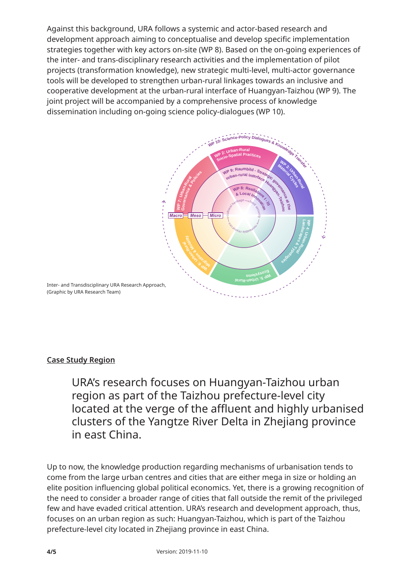Against this background, URA follows a systemic and actor-based research and development approach aiming to conceptualise and develop specific implementation strategies together with key actors on-site (WP 8). Based on the on-going experiences of the inter- and trans-disciplinary research activities and the implementation of pilot projects (transformation knowledge), new strategic multi-level, multi-actor governance tools will be developed to strengthen urban-rural linkages towards an inclusive and **URA Working Packages** cooperative development at the urban-rural interface of Huangyan-Taizhou (WP 9). The *(2019-05-15)* joint project will be accompanied by a comprehensive process of knowledge dissemination including on-going science policy-dialogues (WP 10).



## **Case Study Region**

 URA's research focuses on Huangyan-Taizhou urban **WP 10 ICLEI WS - TUB Habitat Unit - Tongji University CAUP** region as part of the Taizhou prefecture-level city located at the verge of the affluent and highly urbanised clusters of the Yangtze River Delta in Zhejiang province in east China.

Up to now, the knowledge production regarding mechanisms of urbanisation tends to come from the large urban centres and cities that are either mega in size or holding an elite position influencing global political economics. Yet, there is a growing recognition of the need to consider a broader range of cities that fall outside the remit of the privileged few and have evaded critical attention. URA's research and development approach, thus, focuses on an urban region as such: Huangyan-Taizhou, which is part of the Taizhou prefecture-level city located in Zhejiang province in east China.